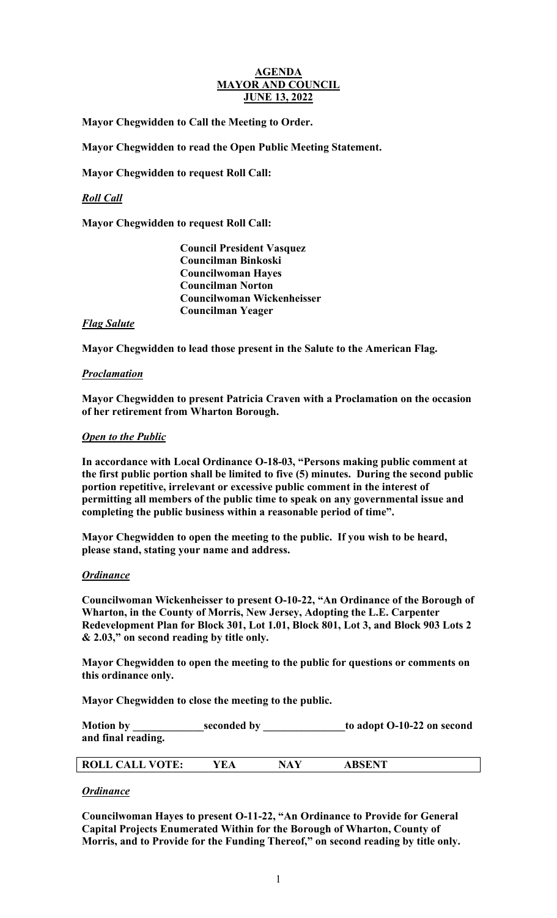#### **AGENDA MAYOR AND COUNCIL JUNE 13, 2022**

**Mayor Chegwidden to Call the Meeting to Order.** 

**Mayor Chegwidden to read the Open Public Meeting Statement.** 

**Mayor Chegwidden to request Roll Call:** 

# *Roll Call*

**Mayor Chegwidden to request Roll Call:**

 **Council President Vasquez Councilman Binkoski Councilwoman Hayes Councilman Norton Councilwoman Wickenheisser Councilman Yeager**

### *Flag Salute*

**Mayor Chegwidden to lead those present in the Salute to the American Flag.**

### *Proclamation*

**Mayor Chegwidden to present Patricia Craven with a Proclamation on the occasion of her retirement from Wharton Borough.**

### *Open to the Public*

**In accordance with Local Ordinance O-18-03, "Persons making public comment at the first public portion shall be limited to five (5) minutes. During the second public portion repetitive, irrelevant or excessive public comment in the interest of permitting all members of the public time to speak on any governmental issue and completing the public business within a reasonable period of time".** 

**Mayor Chegwidden to open the meeting to the public. If you wish to be heard, please stand, stating your name and address.** 

### *Ordinance*

**Councilwoman Wickenheisser to present O-10-22, "An Ordinance of the Borough of Wharton, in the County of Morris, New Jersey, Adopting the L.E. Carpenter Redevelopment Plan for Block 301, Lot 1.01, Block 801, Lot 3, and Block 903 Lots 2 & 2.03," on second reading by title only.** 

**Mayor Chegwidden to open the meeting to the public for questions or comments on this ordinance only.**

**Mayor Chegwidden to close the meeting to the public.**

Motion by **Seconded by b** to adopt O-10-22 on second **and final reading.**

|--|

### *Ordinance*

**Councilwoman Hayes to present O-11-22, "An Ordinance to Provide for General Capital Projects Enumerated Within for the Borough of Wharton, County of Morris, and to Provide for the Funding Thereof," on second reading by title only.**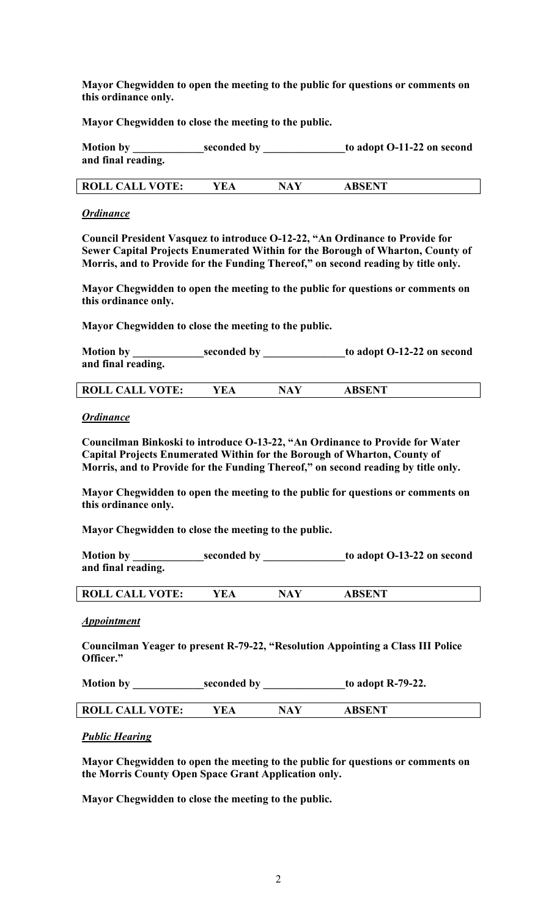**Mayor Chegwidden to open the meeting to the public for questions or comments on this ordinance only.**

**Mayor Chegwidden to close the meeting to the public.**

| <b>Motion by</b>   | seconded by | to adopt O-11-22 on second |
|--------------------|-------------|----------------------------|
| and final reading. |             |                            |

| <b>ROLL CALL VOTE:</b><br>'EA<br>NAV | <b>ABSENT</b> |  |
|--------------------------------------|---------------|--|
|--------------------------------------|---------------|--|

#### *Ordinance*

**Council President Vasquez to introduce O-12-22, "An Ordinance to Provide for Sewer Capital Projects Enumerated Within for the Borough of Wharton, County of Morris, and to Provide for the Funding Thereof," on second reading by title only.** 

**Mayor Chegwidden to open the meeting to the public for questions or comments on this ordinance only.**

**Mayor Chegwidden to close the meeting to the public.**

**Motion by \_\_\_\_\_\_\_\_\_\_\_\_\_seconded by \_\_\_\_\_\_\_\_\_\_\_\_\_\_\_to adopt O-12-22 on second and final reading.**

|  | $\blacksquare$ vote.<br><b>ROLL</b><br>$\tau$ $\Gamma$<br>A I<br><u>Cimili</u> | ЧA<br>Δ | A REFNT<br><b>ADOLITI</b> |  |
|--|--------------------------------------------------------------------------------|---------|---------------------------|--|
|--|--------------------------------------------------------------------------------|---------|---------------------------|--|

#### *Ordinance*

**Councilman Binkoski to introduce O-13-22, "An Ordinance to Provide for Water Capital Projects Enumerated Within for the Borough of Wharton, County of Morris, and to Provide for the Funding Thereof," on second reading by title only.** 

**Mayor Chegwidden to open the meeting to the public for questions or comments on this ordinance only.**

**Mayor Chegwidden to close the meeting to the public.**

Motion by \_\_\_\_\_\_\_\_\_\_\_\_\_seconded by \_\_\_\_\_\_\_\_\_\_\_\_\_to adopt O-13-22 on second **and final reading.**

| <b>ROLL CALL VOTE:</b> | NA<br>the contract of the contract of the contract of the contract of the contract of | <b>ABSENT</b> |
|------------------------|---------------------------------------------------------------------------------------|---------------|
|                        |                                                                                       |               |

#### *Appointment*

**Councilman Yeager to present R-79-22, "Resolution Appointing a Class III Police Officer."**

| <b>Motion by</b> | seconded by | to adopt R-79-22. |
|------------------|-------------|-------------------|
|------------------|-------------|-------------------|

|  | <b>TIATE</b><br><b>RO</b><br>، ت<br>--<br>ຼ | $\sqrt{ }$<br>27 D |  | CENT<br>DCE<br>.<br>- ~ - - - - - - |  |
|--|---------------------------------------------|--------------------|--|-------------------------------------|--|
|--|---------------------------------------------|--------------------|--|-------------------------------------|--|

### *Public Hearing*

**Mayor Chegwidden to open the meeting to the public for questions or comments on the Morris County Open Space Grant Application only.** 

**Mayor Chegwidden to close the meeting to the public.**